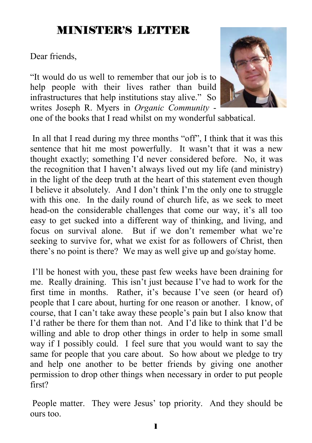## MINISTER'S LETTER

Dear friends,

"It would do us well to remember that our job is to help people with their lives rather than build infrastructures that help institutions stay alive." So writes Joseph R. Myers in *Organic Community* one of the books that I read whilst on my wonderful sabbatical.



 In all that I read during my three months "off", I think that it was this sentence that hit me most powerfully. It wasn't that it was a new thought exactly; something I'd never considered before. No, it was the recognition that I haven't always lived out my life (and ministry) in the light of the deep truth at the heart of this statement even though I believe it absolutely. And I don't think I'm the only one to struggle with this one. In the daily round of church life, as we seek to meet head-on the considerable challenges that come our way, it's all too easy to get sucked into a different way of thinking, and living, and focus on survival alone. But if we don't remember what we're seeking to survive for, what we exist for as followers of Christ, then there's no point is there? We may as well give up and go/stay home.

 I'll be honest with you, these past few weeks have been draining for me. Really draining. This isn't just because I've had to work for the first time in months. Rather, it's because I've seen (or heard of) people that I care about, hurting for one reason or another. I know, of course, that I can't take away these people's pain but I also know that I'd rather be there for them than not. And I'd like to think that I'd be willing and able to drop other things in order to help in some small way if I possibly could. I feel sure that you would want to say the same for people that you care about. So how about we pledge to try and help one another to be better friends by giving one another permission to drop other things when necessary in order to put people first?

 People matter. They were Jesus' top priority. And they should be ours too.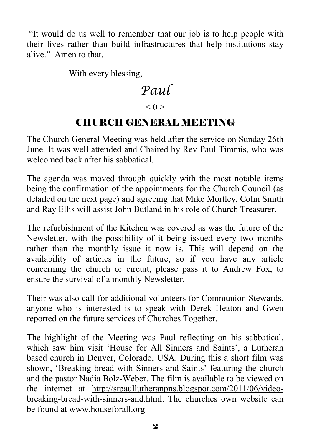"It would do us well to remember that our job is to help people with their lives rather than build infrastructures that help institutions stay alive." Amen to that.

With every blessing,



## CHURCH GENERAL MEETING

The Church General Meeting was held after the service on Sunday 26th June. It was well attended and Chaired by Rev Paul Timmis, who was welcomed back after his sabbatical.

The agenda was moved through quickly with the most notable items being the confirmation of the appointments for the Church Council (as detailed on the next page) and agreeing that Mike Mortley, Colin Smith and Ray Ellis will assist John Butland in his role of Church Treasurer.

The refurbishment of the Kitchen was covered as was the future of the Newsletter, with the possibility of it being issued every two months rather than the monthly issue it now is. This will depend on the availability of articles in the future, so if you have any article concerning the church or circuit, please pass it to Andrew Fox, to ensure the survival of a monthly Newsletter.

Their was also call for additional volunteers for Communion Stewards, anyone who is interested is to speak with Derek Heaton and Gwen reported on the future services of Churches Together.

The highlight of the Meeting was Paul reflecting on his sabbatical, which saw him visit 'House for All Sinners and Saints', a Lutheran based church in Denver, Colorado, USA. During this a short film was shown, 'Breaking bread with Sinners and Saints' featuring the church and the pastor Nadia Bolz-Weber. The film is available to be viewed on the internet at http://stpaullutheranpns.blogspot.com/2011/06/videobreaking-bread-with-sinners-and.html. The churches own website can be found at www.houseforall.org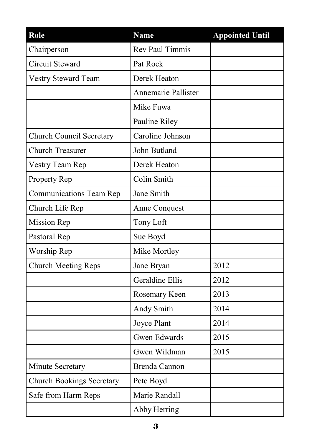| Role                             | <b>Name</b>            | <b>Appointed Until</b> |
|----------------------------------|------------------------|------------------------|
| Chairperson                      | <b>Rev Paul Timmis</b> |                        |
| Circuit Steward                  | Pat Rock               |                        |
| Vestry Steward Team              | Derek Heaton           |                        |
|                                  | Annemarie Pallister    |                        |
|                                  | Mike Fuwa              |                        |
|                                  | Pauline Riley          |                        |
| <b>Church Council Secretary</b>  | Caroline Johnson       |                        |
| <b>Church Treasurer</b>          | John Butland           |                        |
| Vestry Team Rep                  | Derek Heaton           |                        |
| Property Rep                     | Colin Smith            |                        |
| <b>Communications Team Rep</b>   | Jane Smith             |                        |
| Church Life Rep                  | Anne Conquest          |                        |
| <b>Mission Rep</b>               | Tony Loft              |                        |
| Pastoral Rep                     | Sue Boyd               |                        |
| Worship Rep                      | Mike Mortley           |                        |
| <b>Church Meeting Reps</b>       | Jane Bryan             | 2012                   |
|                                  | Geraldine Ellis        | 2012                   |
|                                  | Rosemary Keen          | 2013                   |
|                                  | Andy Smith             | 2014                   |
|                                  | Joyce Plant            | 2014                   |
|                                  | <b>Gwen Edwards</b>    | 2015                   |
|                                  | Gwen Wildman           | 2015                   |
| Minute Secretary                 | <b>Brenda Cannon</b>   |                        |
| <b>Church Bookings Secretary</b> | Pete Boyd              |                        |
| Safe from Harm Reps              | Marie Randall          |                        |
|                                  | Abby Herring           |                        |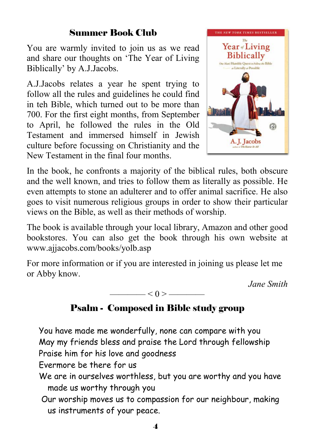### Summer Book Club

You are warmly invited to join us as we read and share our thoughts on 'The Year of Living Biblically' by A.J.Jacobs.

A.J.Jacobs relates a year he spent trying to follow all the rules and guidelines he could find in teh Bible, which turned out to be more than 700. For the first eight months, from September to April, he followed the rules in the Old Testament and immersed himself in Jewish culture before focussing on Christianity and the New Testament in the final four months.



In the book, he confronts a majority of the biblical rules, both obscure and the well known, and tries to follow them as literally as possible. He even attempts to stone an adulterer and to offer animal sacrifice. He also goes to visit numerous religious groups in order to show their particular views on the Bible, as well as their methods of worship.

The book is available through your local library, Amazon and other good bookstores. You can also get the book through his own website at www.ajjacobs.com/books/yolb.asp

For more information or if you are interested in joining us please let me or Abby know.

*Jane Smith* 

 $-$  < 0 >  $-$ 

### Psalm - Composed in Bible study group

You have made me wonderfully, none can compare with you May my friends bless and praise the Lord through fellowship Praise him for his love and goodness

Evermore be there for us

- We are in ourselves worthless, but you are worthy and you have made us worthy through you
- Our worship moves us to compassion for our neighbour, making us instruments of your peace.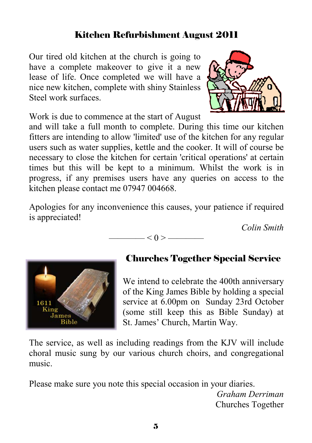### Kitchen Refurbishment August 2011

Our tired old kitchen at the church is going to have a complete makeover to give it a new lease of life. Once completed we will have a nice new kitchen, complete with shiny Stainless Steel work surfaces.



Work is due to commence at the start of August

and will take a full month to complete. During this time our kitchen fitters are intending to allow 'limited' use of the kitchen for any regular users such as water supplies, kettle and the cooker. It will of course be necessary to close the kitchen for certain 'critical operations' at certain times but this will be kept to a minimum. Whilst the work is in progress, if any premises users have any queries on access to the kitchen please contact me 07947 004668.

Apologies for any inconvenience this causes, your patience if required is appreciated!

 $-$  < 0 >  $-$ 

*Colin Smith* 



## Churches Together Special Service

We intend to celebrate the 400th anniversary of the King James Bible by holding a special service at 6.00pm on Sunday 23rd October (some still keep this as Bible Sunday) at St. James' Church, Martin Way.

The service, as well as including readings from the KJV will include choral music sung by our various church choirs, and congregational music.

Please make sure you note this special occasion in your diaries.

*Graham Derriman*  Churches Together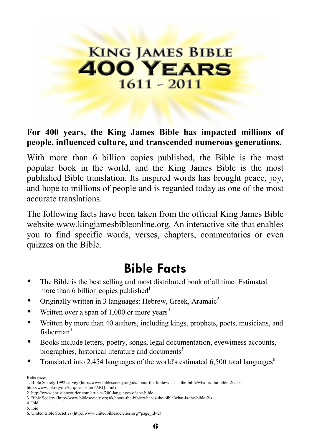# **KING JAMES BIBLE 400 YEARS**  $1611 - 2011$

#### **For 400 years, the King James Bible has impacted millions of people, influenced culture, and transcended numerous generations.**

With more than 6 billion copies published, the Bible is the most popular book in the world, and the King James Bible is the most published Bible translation. Its inspired words has brought peace, joy, and hope to millions of people and is regarded today as one of the most accurate translations.

The following facts have been taken from the official King James Bible website www.kingjamesbibleonline.org. An interactive site that enables you to find specific words, verses, chapters, commentaries or even quizzes on the Bible.

## **Bible Facts**

- The Bible is the best selling and most distributed book of all time. Estimated more than 6 billion copies published $1$
- Originally written in 3 languages: Hebrew, Greek, Aramaic2
- Written over a span of  $1,000$  or more years<sup>3</sup>
- Written by more than 40 authors, including kings, prophets, poets, musicians, and fisherman4
- Books include letters, poetry, songs, legal documentation, eyewitness accounts, biographies, historical literature and documents<sup>5</sup>
- Translated into 2,454 languages of the world's estimated 6,500 total languages<sup>6</sup>

References:

4. Ibid.

<sup>1.</sup> Bible Society 1992 survey (http://www.biblesociety.org.uk/about-the-bible/what-is-the-bible/what-is-the-bible-2/ also http://www.ipl.org/div/farq/bestsellerFARQ.html)

<sup>2.</sup> http://www.christiancourier.com/articles/200-languages-of-the-bible

<sup>3.</sup> Bible Society (http://www.biblesociety.org.uk/about-the-bible/what-is-the-bible/what-is-the-bible-2/)

<sup>5.</sup> Ibid.

<sup>6.</sup> United Bible Societies (http://www.unitedbiblesocieties.org/?page\_id=2)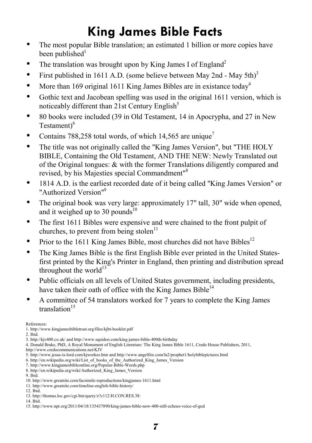# **King James Bible Facts**

- The most popular Bible translation; an estimated 1 billion or more copies have been published $1$
- The translation was brought upon by King James I of England<sup>2</sup>
- First published in 1611 A.D. (some believe between May 2nd May  $5th$ )<sup>3</sup>
- More than 169 original 1611 King James Bibles are in existance today<sup>4</sup>
- Gothic text and Jacobean spelling was used in the original 1611 version, which is noticeably different than  $21st$  Century English<sup>5</sup>
- 80 books were included (39 in Old Testament, 14 in Apocrypha, and 27 in New Testament<sup>16</sup>
- Contains 788,258 total words, of which 14,565 are unique<sup>7</sup>
- The title was not originally called the "King James Version", but "THE HOLY BIBLE, Containing the Old Testament, AND THE NEW: Newly Translated out of the Original tongues: & with the former Translations diligently compared and revised, by his Majesties special Commandment"8
- 1814 A.D. is the earliest recorded date of it being called "King James Version" or "Authorized Version"9
- The original book was very large: approximately 17" tall, 30" wide when opened, and it weighed up to 30 pounds<sup>10</sup>
- The first 1611 Bibles were expensive and were chained to the front pulpit of churches, to prevent from being stolen<sup>11</sup>
- Prior to the 1611 King James Bible, most churches did not have Bibles<sup>12</sup>
- The King James Bible is the first English Bible ever printed in the United Statesfirst printed by the King's Printer in England, then printing and distribution spread throughout the world $13$
- Public officials on all levels of United States government, including presidents, have taken their oath of office with the King James Bible $^{14}$
- A committee of 54 translators worked for 7 years to complete the King James  $translation<sup>15</sup>$

References:

1. http://www.kingjamesbibletrust.org/files/kjbt-booklet.pdf

2. Ibid.

<sup>3.</sup> http://kjv400.co.uk/ and http://www.squidoo.com/king-james-bible-400th-birthday

<sup>4.</sup> Donald Brake, PhD, A Royal Monument of English Literature: The King James Bible 1611, Credo House Publishers, 2011, http://www.credocommunications.net/KJV

<sup>5.</sup> http://www.jesus-is-lord.com/kjworkes.htm and http://www.angelfire.com/la2/prophet1/holybiblepictures.html

<sup>6.</sup> http://en.wikipedia.org/wiki/List\_of\_books\_of\_the\_Authorized\_King\_James\_Version

<sup>7.</sup> http://www.kingjamesbibleonline.org/Popular-Bible-Words.php

<sup>8.</sup> http://en.wikipedia.org/wiki/Authorized King James Version

<sup>9.</sup> Ibid.

<sup>10.</sup> http://www.greatsite.com/facsimile-reproductions/kingjames-1611.html 11. http://www.greatsite.com/timeline-english-bible-history/

<sup>12.</sup> Ibid. 13. http://thomas.loc.gov/cgi-bin/query/z?c112:H.CON.RES.38:

<sup>14.</sup> Ibid.

<sup>15.</sup> http://www.npr.org/2011/04/18/135437890/king-james-bible-now-400-still-echoes-voice-of-god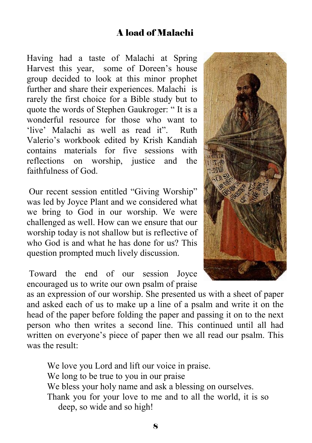### A load of Malachi

Having had a taste of Malachi at Spring Harvest this year, some of Doreen's house group decided to look at this minor prophet further and share their experiences. Malachi is rarely the first choice for a Bible study but to quote the words of Stephen Gaukroger: " It is a wonderful resource for those who want to 'live' Malachi as well as read it". Ruth Valerio's workbook edited by Krish Kandiah contains materials for five sessions with reflections on worship, justice and the faithfulness of God.

 Our recent session entitled "Giving Worship" was led by Joyce Plant and we considered what we bring to God in our worship. We were challenged as well. How can we ensure that our worship today is not shallow but is reflective of who God is and what he has done for us? This question prompted much lively discussion.

 Toward the end of our session Joyce encouraged us to write our own psalm of praise

as an expression of our worship. She presented us with a sheet of paper and asked each of us to make up a line of a psalm and write it on the head of the paper before folding the paper and passing it on to the next person who then writes a second line. This continued until all had written on everyone's piece of paper then we all read our psalm. This was the result:

We love you Lord and lift our voice in praise. We long to be true to you in our praise We bless your holy name and ask a blessing on ourselves. Thank you for your love to me and to all the world, it is so deep, so wide and so high!

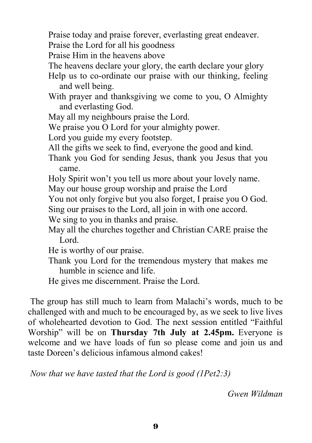Praise today and praise forever, everlasting great endeaver.

Praise the Lord for all his goodness

Praise Him in the heavens above

The heavens declare your glory, the earth declare your glory

Help us to co-ordinate our praise with our thinking, feeling and well being.

With prayer and thanksgiving we come to you, O Almighty and everlasting God.

May all my neighbours praise the Lord.

We praise you O Lord for your almighty power.

Lord you guide my every footstep.

All the gifts we seek to find, everyone the good and kind.

Thank you God for sending Jesus, thank you Jesus that you came.

Holy Spirit won't you tell us more about your lovely name.

May our house group worship and praise the Lord

You not only forgive but you also forget, I praise you O God.

Sing our praises to the Lord, all join in with one accord.

We sing to you in thanks and praise.

May all the churches together and Christian CARE praise the Lord.

He is worthy of our praise.

Thank you Lord for the tremendous mystery that makes me humble in science and life.

He gives me discernment. Praise the Lord.

 The group has still much to learn from Malachi's words, much to be challenged with and much to be encouraged by, as we seek to live lives of wholehearted devotion to God. The next session entitled "Faithful Worship" will be on **Thursday 7th July at 2.45pm.** Everyone is welcome and we have loads of fun so please come and join us and taste Doreen's delicious infamous almond cakes!

*Now that we have tasted that the Lord is good (1Pet2:3)* 

*Gwen Wildman*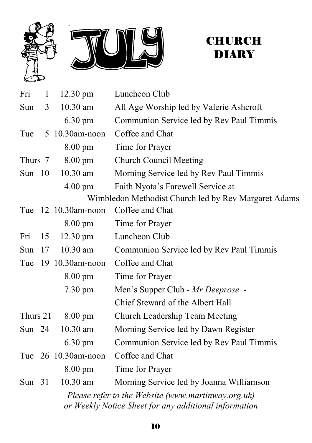

## **CHURCH DIARY**

| Fri                                                                                                         | $\mathbf{1}$ | $12.30 \text{ pm}$   | Luncheon Club                                        |  |
|-------------------------------------------------------------------------------------------------------------|--------------|----------------------|------------------------------------------------------|--|
| Sun                                                                                                         | 3            | 10.30 am             | All Age Worship led by Valerie Ashcroft              |  |
|                                                                                                             |              | $6.30 \text{ pm}$    | Communion Service led by Rev Paul Timmis             |  |
| Tue                                                                                                         |              | 5 10.30am-noon       | Coffee and Chat                                      |  |
|                                                                                                             |              | 8.00 pm              | Time for Prayer                                      |  |
| Thurs 7                                                                                                     |              | $8.00 \text{ pm}$    | <b>Church Council Meeting</b>                        |  |
| Sun $10$                                                                                                    |              | 10.30 am             | Morning Service led by Rev Paul Timmis               |  |
|                                                                                                             |              | $4.00 \text{ pm}$    | Faith Nyota's Farewell Service at                    |  |
|                                                                                                             |              |                      | Wimbledon Methodist Church led by Rev Margaret Adams |  |
| Tue                                                                                                         |              | $12 \t10.30$ am-noon | Coffee and Chat                                      |  |
|                                                                                                             |              | $8.00 \text{ pm}$    | Time for Prayer                                      |  |
| Fri                                                                                                         | 15           | $12.30 \text{ pm}$   | Luncheon Club                                        |  |
| Sun                                                                                                         | 17           | 10.30 am             | Communion Service led by Rev Paul Timmis             |  |
|                                                                                                             |              | Tue 19 10.30am-noon  | Coffee and Chat                                      |  |
|                                                                                                             |              | 8.00 pm              | Time for Prayer                                      |  |
|                                                                                                             |              | $7.30 \text{ pm}$    | Men's Supper Club - Mr Deeprose -                    |  |
|                                                                                                             |              |                      | Chief Steward of the Albert Hall                     |  |
| Thurs 21                                                                                                    |              | $8.00 \text{ pm}$    | Church Leadership Team Meeting                       |  |
| Sun $24$                                                                                                    |              | $10.30$ am           | Morning Service led by Dawn Register                 |  |
|                                                                                                             |              | $6.30 \text{ pm}$    | Communion Service led by Rev Paul Timmis             |  |
|                                                                                                             |              | Tue 26 10.30am-noon  | Coffee and Chat                                      |  |
|                                                                                                             |              | $8.00 \text{ pm}$    | Time for Prayer                                      |  |
| Sun $31$                                                                                                    |              | 10.30 am             | Morning Service led by Joanna Williamson             |  |
| Please refer to the Website (www.martinway.org.uk)<br>or Weekly Notice Sheet for any additional information |              |                      |                                                      |  |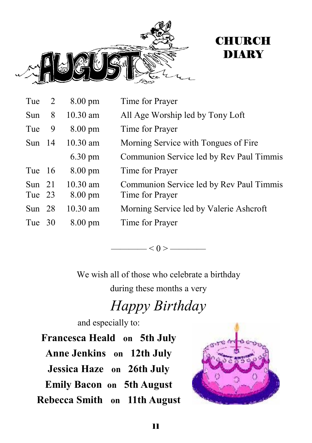



| Tue 2              |     | $8.00 \text{ pm}$               | Time for Prayer                                             |
|--------------------|-----|---------------------------------|-------------------------------------------------------------|
| Sun                | 8   | $10.30$ am                      | All Age Worship led by Tony Loft                            |
| Tue                | - 9 | $8.00 \text{ pm}$               | Time for Prayer                                             |
| Sun $14$           |     | $10.30$ am                      | Morning Service with Tongues of Fire.                       |
|                    |     | $6.30 \text{ pm}$               | Communion Service led by Rev Paul Timmis                    |
| Tue 16             |     | $8.00 \text{ pm}$               | Time for Prayer                                             |
| Sun $21$<br>Tue 23 |     | $10.30$ am<br>$8.00 \text{ pm}$ | Communion Service led by Rev Paul Timmis<br>Time for Prayer |
| Sun $28$           |     | $10.30$ am                      | Morning Service led by Valerie Ashcroft                     |
| Tue 30             |     | $8.00 \text{ pm}$               | Time for Prayer                                             |

———— $<$  ()  $>$  ————

We wish all of those who celebrate a birthday

during these months a very

# *Happy Birthday*

and especially to:

**Francesca Heald on 5th July Anne Jenkins on 12th July Jessica Haze on 26th July Emily Bacon on 5th August Rebecca Smith on 11th August**